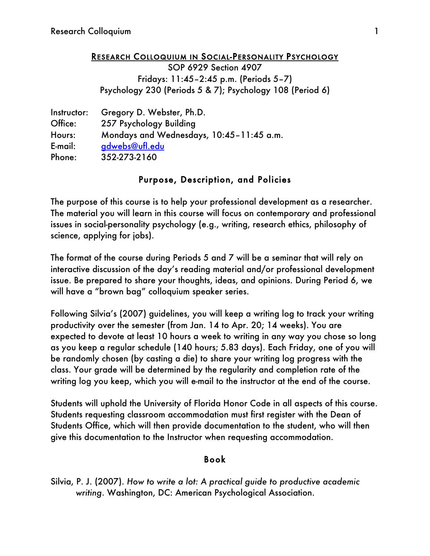#### RESEARCH COLLOQUIUM IN SOCIAL-PERSONALITY PSYCHOLOGY

SOP 6929 Section 4907 Fridays: 11:45–2:45 p.m. (Periods 5–7) Psychology 230 (Periods 5 & 7); Psychology 108 (Period 6)

| Instructor: | Gregory D. Webster, Ph.D.                |  |
|-------------|------------------------------------------|--|
| Office:     | 257 Psychology Building                  |  |
| Hours:      | Mondays and Wednesdays, 10:45-11:45 a.m. |  |
| E-mail:     | gdwebs@ufl.edu                           |  |
| Phone:      | 352-273-2160                             |  |

### Purpose, Description, and Policies

The purpose of this course is to help your professional development as a researcher. The material you will learn in this course will focus on contemporary and professional issues in social-personality psychology (e.g., writing, research ethics, philosophy of science, applying for jobs).

The format of the course during Periods 5 and 7 will be a seminar that will rely on interactive discussion of the day's reading material and/or professional development issue. Be prepared to share your thoughts, ideas, and opinions. During Period 6, we will have a "brown bag" colloquium speaker series.

Following Silvia's (2007) guidelines, you will keep a writing log to track your writing productivity over the semester (from Jan. 14 to Apr. 20; 14 weeks). You are expected to devote at least 10 hours a week to writing in any way you chose so long as you keep a regular schedule (140 hours; 5.83 days). Each Friday, one of you will be randomly chosen (by casting a die) to share your writing log progress with the class. Your grade will be determined by the regularity and completion rate of the writing log you keep, which you will e-mail to the instructor at the end of the course.

Students will uphold the University of Florida Honor Code in all aspects of this course. Students requesting classroom accommodation must first register with the Dean of Students Office, which will then provide documentation to the student, who will then give this documentation to the Instructor when requesting accommodation.

#### Book

Silvia, P. J. (2007). *How to write a lot: A practical guide to productive academic writing*. Washington, DC: American Psychological Association.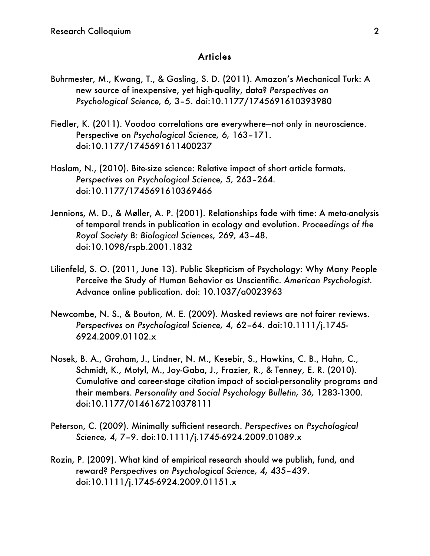#### **Articles**

- Buhrmester, M., Kwang, T., & Gosling, S. D. (2011). Amazon's Mechanical Turk: A new source of inexpensive, yet high-quality, data? *Perspectives on Psychological Science, 6,* 3–5. doi:10.1177/1745691610393980
- Fiedler, K. (2011). Voodoo correlations are everywhere—not only in neuroscience. Perspective on *Psychological Science, 6,* 163–171. doi:10.1177/1745691611400237
- Haslam, N., (2010). Bite-size science: Relative impact of short article formats. *Perspectives on Psychological Science, 5,* 263–264. doi:10.1177/1745691610369466
- Jennions, M. D., & Møller, A. P. (2001). Relationships fade with time: A meta-analysis of temporal trends in publication in ecology and evolution. *Proceedings of the Royal Society B: Biological Sciences, 269,* 43–48. doi:10.1098/rspb.2001.1832
- Lilienfeld, S. O. (2011, June 13). Public Skepticism of Psychology: Why Many People Perceive the Study of Human Behavior as Unscientific. *American Psychologist*. Advance online publication. doi: 10.1037/a0023963
- Newcombe, N. S., & Bouton, M. E. (2009). Masked reviews are not fairer reviews. *Perspectives on Psychological Science, 4,* 62–64. doi:10.1111/j.1745- 6924.2009.01102.x
- Nosek, B. A., Graham, J., Lindner, N. M., Kesebir, S., Hawkins, C. B., Hahn, C., Schmidt, K., Motyl, M., Joy-Gaba, J., Frazier, R., & Tenney, E. R. (2010). Cumulative and career-stage citation impact of social-personality programs and their members. *Personality and Social Psychology Bulletin, 36,* 1283-1300. doi:10.1177/0146167210378111
- Peterson, C. (2009). Minimally sufficient research. *Perspectives on Psychological Science, 4,* 7–9. doi:10.1111/j.1745-6924.2009.01089.x
- Rozin, P. (2009). What kind of empirical research should we publish, fund, and reward? *Perspectives on Psychological Science, 4,* 435–439. doi:10.1111/j.1745-6924.2009.01151.x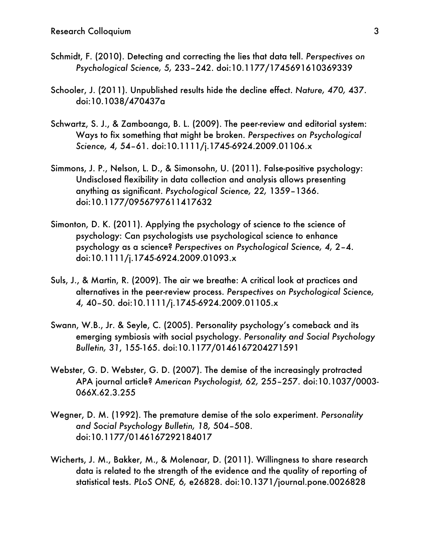- Schmidt, F. (2010). Detecting and correcting the lies that data tell. *Perspectives on Psychological Science, 5,* 233–242. doi:10.1177/1745691610369339
- Schooler, J. (2011). Unpublished results hide the decline effect. *Nature, 470,* 437. doi:10.1038/470437a
- Schwartz, S. J., & Zamboanga, B. L. (2009). The peer-review and editorial system: Ways to fix something that might be broken. *Perspectives on Psychological Science, 4,* 54–61. doi:10.1111/j.1745-6924.2009.01106.x
- Simmons, J. P., Nelson, L. D., & Simonsohn, U. (2011). False-positive psychology: Undisclosed flexibility in data collection and analysis allows presenting anything as significant. *Psychological Science, 22,* 1359–1366. doi:10.1177/0956797611417632
- Simonton, D. K. (2011). Applying the psychology of science to the science of psychology: Can psychologists use psychological science to enhance psychology as a science? *Perspectives on Psychological Science, 4,* 2–4. doi:10.1111/j.1745-6924.2009.01093.x
- Suls, J., & Martin, R. (2009). The air we breathe: A critical look at practices and alternatives in the peer-review process. *Perspectives on Psychological Science, 4,* 40–50. doi:10.1111/j.1745-6924.2009.01105.x
- Swann, W.B., Jr. & Seyle, C. (2005). Personality psychology's comeback and its emerging symbiosis with social psychology. *Personality and Social Psychology Bulletin, 31*, 155-165. doi:10.1177/0146167204271591
- Webster, G. D. Webster, G. D. (2007). The demise of the increasingly protracted APA journal article? *American Psychologist, 62,* 255–257. doi:10.1037/0003- 066X.62.3.255
- Wegner, D. M. (1992). The premature demise of the solo experiment. *Personality and Social Psychology Bulletin, 18,* 504–508. doi:10.1177/0146167292184017
- Wicherts, J. M., Bakker, M., & Molenaar, D. (2011). Willingness to share research data is related to the strength of the evidence and the quality of reporting of statistical tests. *PLoS ONE, 6,* e26828. doi:10.1371/journal.pone.0026828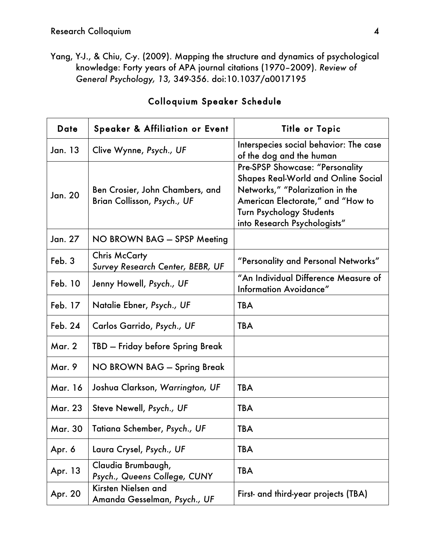Yang, Y-J., & Chiu, C-y. (2009). Mapping the structure and dynamics of psychological knowledge: Forty years of APA journal citations (1970–2009). *Review of General Psychology, 13,* 349-356. doi:10.1037/a0017195

| <b>Date</b>    | <b>Speaker &amp; Affiliation or Event</b>                      | <b>Title or Topic</b>                                                                                                                                                                                                    |
|----------------|----------------------------------------------------------------|--------------------------------------------------------------------------------------------------------------------------------------------------------------------------------------------------------------------------|
| Jan. 13        | Clive Wynne, Psych., UF                                        | Interspecies social behavior: The case<br>of the dog and the human                                                                                                                                                       |
| Jan. 20        | Ben Crosier, John Chambers, and<br>Brian Collisson, Psych., UF | Pre-SPSP Showcase: "Personality<br><b>Shapes Real-World and Online Social</b><br>Networks," "Polarization in the<br>American Electorate," and "How to<br><b>Turn Psychology Students</b><br>into Research Psychologists" |
| Jan. 27        | NO BROWN BAG - SPSP Meeting                                    |                                                                                                                                                                                                                          |
| Feb. 3         | <b>Chris McCarty</b><br>Survey Research Center, BEBR, UF       | "Personality and Personal Networks"                                                                                                                                                                                      |
| Feb. 10        | Jenny Howell, Psych., UF                                       | "An Individual Difference Measure of<br>Information Avoidance"                                                                                                                                                           |
| Feb. 17        | Natalie Ebner, Psych., UF                                      | <b>TBA</b>                                                                                                                                                                                                               |
| Feb. 24        | Carlos Garrido, Psych., UF                                     | <b>TBA</b>                                                                                                                                                                                                               |
| <b>Mar. 2</b>  | TBD - Friday before Spring Break                               |                                                                                                                                                                                                                          |
| <b>Mar. 9</b>  | NO BROWN BAG - Spring Break                                    |                                                                                                                                                                                                                          |
| Mar. 16        | Joshua Clarkson, Warrington, UF                                | <b>TBA</b>                                                                                                                                                                                                               |
| <b>Mar. 23</b> | Steve Newell, Psych., UF                                       | <b>TBA</b>                                                                                                                                                                                                               |
| <b>Mar. 30</b> | Tatiana Schember, Psych., UF                                   | <b>TBA</b>                                                                                                                                                                                                               |
| Apr. 6         | Laura Crysel, Psych., UF                                       | <b>TBA</b>                                                                                                                                                                                                               |
| Apr. 13        | Claudia Brumbaugh,<br>Psych., Queens College, CUNY             | <b>TBA</b>                                                                                                                                                                                                               |
| Apr. 20        | Kirsten Nielsen and<br>Amanda Gesselman, Psych., UF            | First- and third-year projects (TBA)                                                                                                                                                                                     |

## Colloquium Speaker Schedule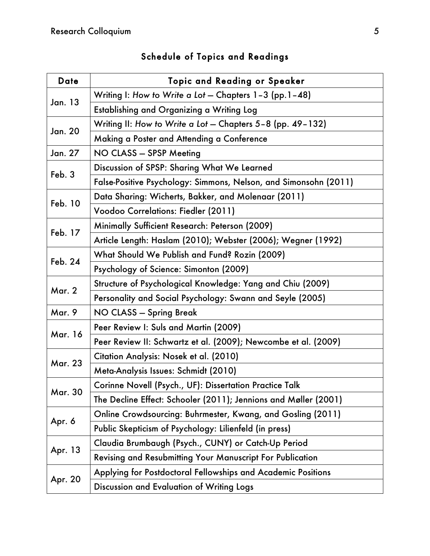| <b>Date</b>    | <b>Topic and Reading or Speaker</b>                              |  |  |
|----------------|------------------------------------------------------------------|--|--|
| <b>Jan. 13</b> | Writing I: How to Write a Lot - Chapters 1-3 (pp.1-48)           |  |  |
|                | Establishing and Organizing a Writing Log                        |  |  |
| Jan. 20        | Writing II: How to Write a Lot - Chapters 5-8 (pp. 49-132)       |  |  |
|                | Making a Poster and Attending a Conference                       |  |  |
| Jan. 27        | NO CLASS - SPSP Meeting                                          |  |  |
| Feb. 3         | Discussion of SPSP: Sharing What We Learned                      |  |  |
|                | False-Positive Psychology: Simmons, Nelson, and Simonsohn (2011) |  |  |
| Feb. 10        | Data Sharing: Wicherts, Bakker, and Molenaar (2011)              |  |  |
|                | Voodoo Correlations: Fiedler (2011)                              |  |  |
| Feb. 17        | Minimally Sufficient Research: Peterson (2009)                   |  |  |
|                | Article Length: Haslam (2010); Webster (2006); Wegner (1992)     |  |  |
| Feb. 24        | What Should We Publish and Fund? Rozin (2009)                    |  |  |
|                | Psychology of Science: Simonton (2009)                           |  |  |
| <b>Mar. 2</b>  | Structure of Psychological Knowledge: Yang and Chiu (2009)       |  |  |
|                | Personality and Social Psychology: Swann and Seyle (2005)        |  |  |
| <b>Mar. 9</b>  | NO CLASS - Spring Break                                          |  |  |
| Mar. 16        | Peer Review I: Suls and Martin (2009)                            |  |  |
|                | Peer Review II: Schwartz et al. (2009); Newcombe et al. (2009)   |  |  |
| <b>Mar. 23</b> | Citation Analysis: Nosek et al. (2010)                           |  |  |
|                | Meta-Analysis Issues: Schmidt (2010)                             |  |  |
|                | Corinne Novell (Psych., UF): Dissertation Practice Talk          |  |  |
| <b>Mar. 30</b> | The Decline Effect: Schooler (2011); Jennions and Møller (2001)  |  |  |
|                | Online Crowdsourcing: Buhrmester, Kwang, and Gosling (2011)      |  |  |
| Apr. 6         | Public Skepticism of Psychology: Lilienfeld (in press)           |  |  |
| Apr. 13        | Claudia Brumbaugh (Psych., CUNY) or Catch-Up Period              |  |  |
|                | Revising and Resubmitting Your Manuscript For Publication        |  |  |
| Apr. 20        | Applying for Postdoctoral Fellowships and Academic Positions     |  |  |
|                | Discussion and Evaluation of Writing Logs                        |  |  |

# Schedule of Topics and Readings